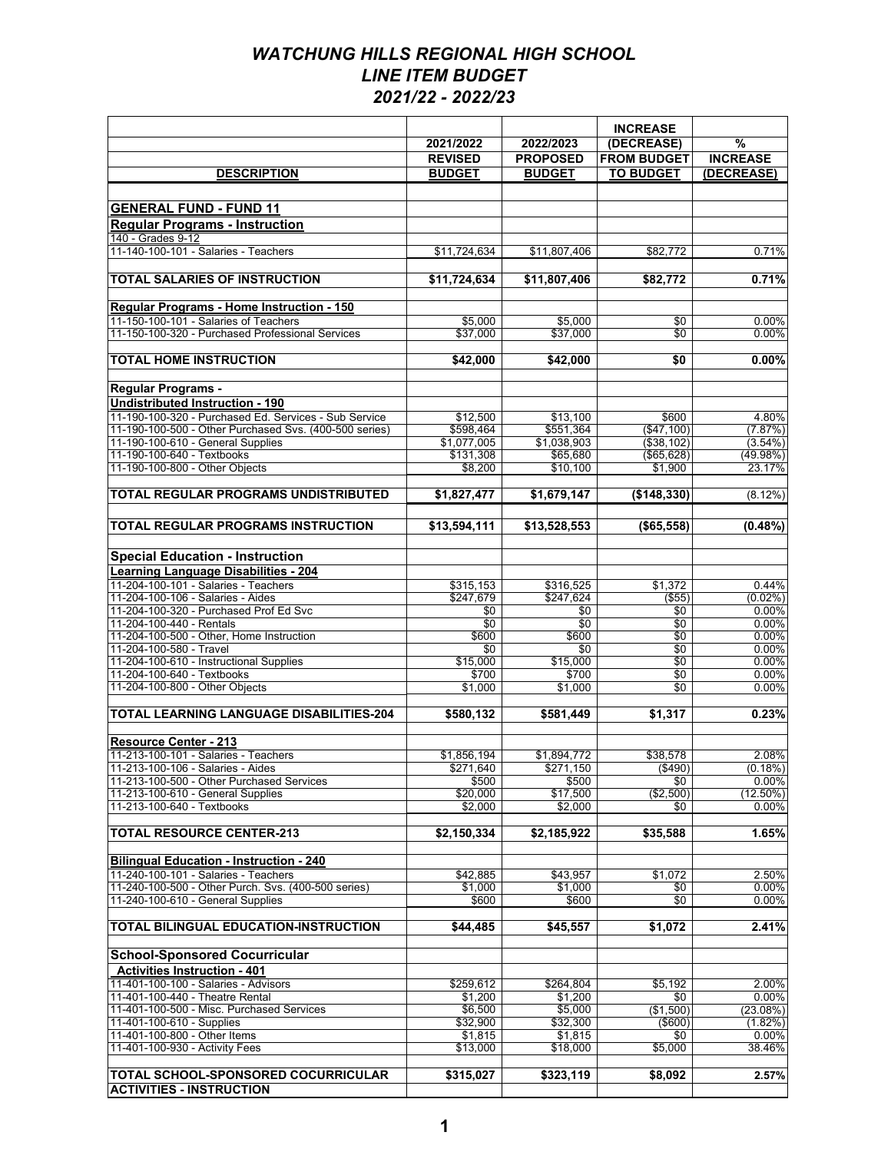|                                                                                             |                          |                          | <b>INCREASE</b>        |                     |
|---------------------------------------------------------------------------------------------|--------------------------|--------------------------|------------------------|---------------------|
|                                                                                             | 2021/2022                | 2022/2023                | (DECREASE)             | $\%$                |
|                                                                                             | <b>REVISED</b>           | <b>PROPOSED</b>          | <b>FROM BUDGET</b>     | <b>INCREASE</b>     |
| <b>DESCRIPTION</b>                                                                          | <b>BUDGET</b>            | <b>BUDGET</b>            | <b>TO BUDGET</b>       | (DECREASE)          |
|                                                                                             |                          |                          |                        |                     |
| <b>GENERAL FUND - FUND 11</b>                                                               |                          |                          |                        |                     |
| <b>Regular Programs - Instruction</b>                                                       |                          |                          |                        |                     |
| 140 - Grades 9-12                                                                           |                          |                          |                        |                     |
| 11-140-100-101 - Salaries - Teachers                                                        | \$11,724,634             | \$11,807,406             | \$82,772               | 0.71%               |
| <b>TOTAL SALARIES OF INSTRUCTION</b>                                                        | \$11,724,634             | \$11.807.406             | \$82,772               | 0.71%               |
| Regular Programs - Home Instruction - 150                                                   |                          |                          |                        |                     |
| 11-150-100-101 - Salaries of Teachers                                                       | \$5,000                  | \$5,000                  | \$0                    | 0.00%               |
| 11-150-100-320 - Purchased Professional Services                                            | \$37,000                 | \$37,000                 | \$0                    | $0.00\%$            |
| <b>TOTAL HOME INSTRUCTION</b>                                                               | \$42,000                 | \$42,000                 | \$0                    | 0.00%               |
| <b>Regular Programs -</b>                                                                   |                          |                          |                        |                     |
| <b>Undistributed Instruction - 190</b>                                                      |                          |                          |                        |                     |
| 11-190-100-320 - Purchased Ed. Services - Sub Service                                       | \$12,500                 | \$13,100                 | \$600                  | 4.80%               |
| 11-190-100-500 - Other Purchased Svs. (400-500 series)                                      | \$598,464                | \$551.364                | (\$47,100)             | (7.87%)             |
| 11-190-100-610 - General Supplies                                                           | \$1,077,005              | \$1.038.903              | (\$38,102)             | $(3.54\%)$          |
| 11-190-100-640 - Textbooks<br>11-190-100-800 - Other Objects                                | \$131,308                | \$65,680                 | (\$65,628)             | (49.98%)            |
|                                                                                             | \$8,200                  | \$10,100                 | \$1,900                | 23.17%              |
| TOTAL REGULAR PROGRAMS UNDISTRIBUTED                                                        | \$1,827,477              | \$1,679,147              | (\$148,330)            | $(8.12\%)$          |
| <b>TOTAL REGULAR PROGRAMS INSTRUCTION</b>                                                   | \$13,594,111             | \$13,528,553             | (\$65,558)             | $(0.48\%)$          |
|                                                                                             |                          |                          |                        |                     |
| <b>Special Education - Instruction</b>                                                      |                          |                          |                        |                     |
| <b>Learning Language Disabilities - 204</b>                                                 |                          |                          |                        |                     |
| 11-204-100-101 - Salaries - Teachers                                                        | \$315,153                | \$316,525                | \$1,372                | 0.44%               |
| 11-204-100-106 - Salaries - Aides<br>11-204-100-320 - Purchased Prof Ed Svc                 | \$247,679                | \$247,624                | $($ \$55)              | $(0.02\%)$<br>0.00% |
| 11-204-100-440 - Rentals                                                                    | \$0<br>\$0               | \$0<br>\$0               | \$0<br>\$0             | 0.00%               |
| 11-204-100-500 - Other, Home Instruction                                                    | \$600                    | \$600                    | \$0                    | 0.00%               |
| 11-204-100-580 - Travel                                                                     | \$0                      | \$0                      | $\sqrt{50}$            | 0.00%               |
| 11-204-100-610 - Instructional Supplies                                                     | \$15,000                 | \$15,000                 | \$0                    | 0.00%               |
| 11-204-100-640 - Textbooks                                                                  | \$700                    | \$700                    | \$0                    | 0.00%               |
| 11-204-100-800 - Other Objects                                                              | \$1,000                  | \$1,000                  | \$0                    | 0.00%               |
| <b>TOTAL LEARNING LANGUAGE DISABILITIES-204</b>                                             | \$580,132                | \$581,449                | \$1,317                | 0.23%               |
|                                                                                             |                          |                          |                        |                     |
| <b>Resource Center - 213</b>                                                                |                          |                          |                        |                     |
| 11-213-100-101 - Salaries - Teachers<br>11-213-100-106 - Salaries - Aides                   | \$1.856.194<br>\$271,640 | \$1,894,772<br>\$271,150 | \$38,578<br>$($ \$490) | 2.08%<br>(0.18%)    |
| 11-213-100-500 - Other Purchased Services                                                   | \$500                    | \$500                    | \$0                    | $0.00\%$            |
| 11-213-100-610 - General Supplies                                                           | \$20,000                 | \$17,500                 | (\$2,500)              | $(12.50\%)$         |
| 11-213-100-640 - Textbooks                                                                  | \$2,000                  | \$2,000                  | \$0                    | $0.00\%$            |
| <b>TOTAL RESOURCE CENTER-213</b>                                                            | \$2,150,334              | \$2,185,922              | \$35,588               | 1.65%               |
|                                                                                             |                          |                          |                        |                     |
| <b>Bilingual Education - Instruction - 240</b>                                              |                          |                          |                        |                     |
| 11-240-100-101 - Salaries - Teachers<br>11-240-100-500 - Other Purch. Svs. (400-500 series) | \$42,885                 | \$43,957                 | \$1,072                | 2.50%               |
| 11-240-100-610 - General Supplies                                                           | \$1,000<br>\$600         | \$1,000<br>\$600         | \$0<br>\$0             | $0.00\%$<br>0.00%   |
|                                                                                             |                          |                          |                        |                     |
| <b>TOTAL BILINGUAL EDUCATION-INSTRUCTION</b>                                                | \$44.485                 | \$45,557                 | \$1,072                | 2.41%               |
| <b>School-Sponsored Cocurricular</b>                                                        |                          |                          |                        |                     |
| <b>Activities Instruction - 401</b>                                                         |                          |                          |                        |                     |
| 11-401-100-100 - Salaries - Advisors                                                        | \$259,612                | \$264,804                | \$5,192                | 2.00%               |
| 11-401-100-440 - Theatre Rental                                                             | \$1,200                  | \$1,200                  | \$0                    | 0.00%               |
| 11-401-100-500 - Misc. Purchased Services                                                   | \$6,500                  | \$5,000                  | (\$1,500)              | (23.08%)            |
| 11-401-100-610 - Supplies                                                                   | \$32,900                 | \$32,300                 | $($ \$600)             | $(1.82\%)$          |
| 11-401-100-800 - Other Items<br>11-401-100-930 - Activity Fees                              | \$1,815<br>\$13,000      | \$1,815<br>\$18,000      | \$0<br>\$5,000         | $0.00\%$<br>38.46%  |
|                                                                                             |                          |                          |                        |                     |
| <b>TOTAL SCHOOL-SPONSORED COCURRICULAR</b>                                                  | \$315,027                | \$323,119                | \$8,092                | 2.57%               |
| <b>ACTIVITIES - INSTRUCTION</b>                                                             |                          |                          |                        |                     |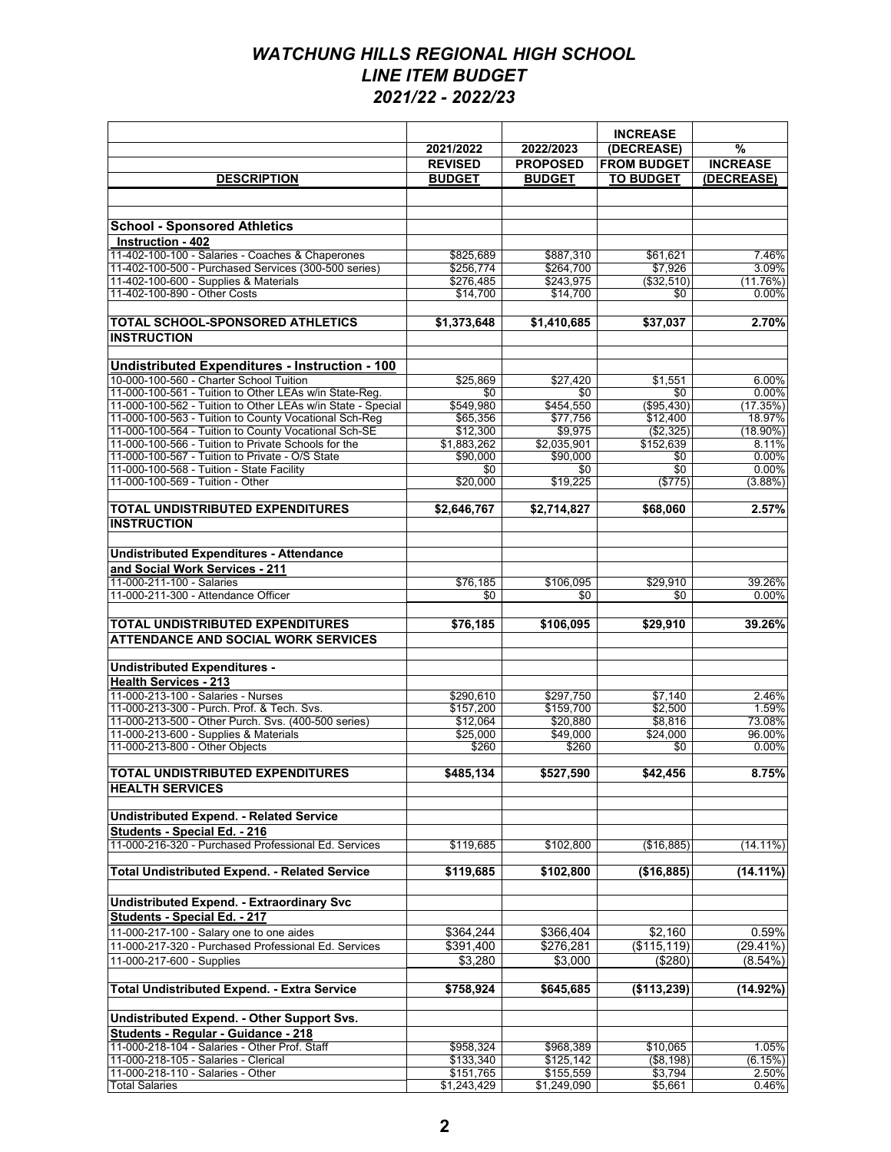|                                                                                                                      | 2021/2022             | 2022/2023             | <b>INCREASE</b><br>(DECREASE) | $\frac{9}{6}$      |
|----------------------------------------------------------------------------------------------------------------------|-----------------------|-----------------------|-------------------------------|--------------------|
|                                                                                                                      | <b>REVISED</b>        | <b>PROPOSED</b>       | <b>FROM BUDGET</b>            | <b>INCREASE</b>    |
| <b>DESCRIPTION</b>                                                                                                   | <b>BUDGET</b>         | <b>BUDGET</b>         | <b>TO BUDGET</b>              | (DECREASE)         |
|                                                                                                                      |                       |                       |                               |                    |
|                                                                                                                      |                       |                       |                               |                    |
| <b>School - Sponsored Athletics</b>                                                                                  |                       |                       |                               |                    |
| Instruction - 402                                                                                                    |                       |                       |                               |                    |
| 11-402-100-100 - Salaries - Coaches & Chaperones                                                                     | \$825,689             | \$887,310             | \$61,621                      | 7.46%              |
| 11-402-100-500 - Purchased Services (300-500 series)                                                                 | \$256,774             | \$264,700             | \$7,926                       | 3.09%              |
| 11-402-100-600 - Supplies & Materials                                                                                | \$276,485             | \$243,975             | (\$32,510)                    | (11.76%)           |
| 11-402-100-890 - Other Costs                                                                                         | \$14,700              | \$14,700              | \$0                           | 0.00%              |
| TOTAL SCHOOL-SPONSORED ATHLETICS<br><b>INSTRUCTION</b>                                                               | \$1,373,648           | \$1,410,685           | \$37,037                      | 2.70%              |
| <b>Undistributed Expenditures - Instruction - 100</b>                                                                |                       |                       |                               |                    |
| 10-000-100-560 - Charter School Tuition                                                                              | \$25,869              | \$27,420              | \$1,551                       | 6.00%              |
| 11-000-100-561 - Tuition to Other LEAs w/in State-Reg.                                                               | \$0                   | \$0                   | \$0                           | 0.00%              |
| 11-000-100-562 - Tuition to Other LEAs w/in State - Special<br>11-000-100-563 - Tuition to County Vocational Sch-Reg | \$549,980<br>\$65,356 | \$454,550<br>\$77.756 | (\$95,430)<br>\$12,400        | (17.35%)<br>18.97% |
| 11-000-100-564 - Tuition to County Vocational Sch-SE                                                                 | \$12,300              | \$9,975               | (\$2,325)                     | $(18.90\%)$        |
| 11-000-100-566 - Tuition to Private Schools for the                                                                  | \$1,883,262           | \$2,035,901           | \$152,639                     | 8.11%              |
| 11-000-100-567 - Tuition to Private - O/S State                                                                      | \$90,000              | \$90,000              | \$0                           | 0.00%              |
| 11-000-100-568 - Tuition - State Facility                                                                            | \$0                   | \$0                   | \$0                           | 0.00%              |
| 11-000-100-569 - Tuition - Other                                                                                     | \$20,000              | \$19,225              | (\$775)                       | (3.88%)            |
|                                                                                                                      |                       |                       |                               |                    |
| <b>TOTAL UNDISTRIBUTED EXPENDITURES</b><br><b>INSTRUCTION</b>                                                        | \$2,646,767           | \$2,714,827           | \$68,060                      | 2.57%              |
|                                                                                                                      |                       |                       |                               |                    |
| <b>Undistributed Expenditures - Attendance</b>                                                                       |                       |                       |                               |                    |
| and Social Work Services - 211                                                                                       |                       |                       |                               |                    |
| 11-000-211-100 - Salaries                                                                                            | \$76,185              | \$106,095             | \$29,910                      | 39.26%             |
| 11-000-211-300 - Attendance Officer                                                                                  | \$0                   | \$0                   | \$0                           | 0.00%              |
| <b>TOTAL UNDISTRIBUTED EXPENDITURES</b><br><b>ATTENDANCE AND SOCIAL WORK SERVICES</b>                                | \$76,185              | \$106,095             | \$29,910                      | 39.26%             |
| <b>Undistributed Expenditures -</b>                                                                                  |                       |                       |                               |                    |
| <b>Health Services - 213</b>                                                                                         |                       |                       |                               |                    |
| 11-000-213-100 - Salaries - Nurses                                                                                   | \$290,610             | \$297,750             | \$7,140                       | 2.46%              |
| 11-000-213-300 - Purch. Prof. & Tech. Svs.                                                                           | \$157,200             | \$159,700             | \$2.500                       | 1.59%              |
| 11-000-213-500 - Other Purch. Svs. (400-500 series)                                                                  | \$12,064              | \$20,880              | \$8,816                       | 73.08%             |
| 11-000-213-600 - Supplies & Materials                                                                                | \$25,000              | \$49,000              | \$24,000                      | 96.00%             |
| 11-000-213-800 - Other Objects                                                                                       | \$260                 | \$260                 | \$0                           | 0.00%              |
| <b>TOTAL UNDISTRIBUTED EXPENDITURES</b>                                                                              | \$485,134             | \$527,590             | \$42,456                      | 8.75%              |
| <b>HEALTH SERVICES</b>                                                                                               |                       |                       |                               |                    |
|                                                                                                                      |                       |                       |                               |                    |
| <b>Undistributed Expend. - Related Service</b>                                                                       |                       |                       |                               |                    |
| Students - Special Ed. - 216                                                                                         |                       |                       |                               |                    |
| 11-000-216-320 - Purchased Professional Ed. Services                                                                 | \$119,685             | \$102,800             | (\$16,885)                    | $(14.11\%)$        |
| <b>Total Undistributed Expend. - Related Service</b>                                                                 | \$119,685             | \$102,800             | (\$16,885)                    | $(14.11\%)$        |
| Undistributed Expend. - Extraordinary Svc                                                                            |                       |                       |                               |                    |
| Students - Special Ed. - 217                                                                                         |                       |                       |                               |                    |
| 11-000-217-100 - Salary one to one aides                                                                             | \$364,244             | \$366,404             | \$2,160                       | 0.59%              |
| 11-000-217-320 - Purchased Professional Ed. Services                                                                 | \$391,400             | \$276,281             | (\$115, 119)                  | (29.41%)           |
| 11-000-217-600 - Supplies                                                                                            | \$3,280               | \$3,000               | (\$280)                       | $(8.54\%)$         |
|                                                                                                                      |                       |                       |                               |                    |
| <b>Total Undistributed Expend. - Extra Service</b>                                                                   | \$758,924             | \$645,685             | (\$113,239)                   | (14.92%)           |
| Undistributed Expend. - Other Support Svs.                                                                           |                       |                       |                               |                    |
| Students - Regular - Guidance - 218                                                                                  |                       |                       |                               |                    |
| 11-000-218-104 - Salaries - Other Prof. Staff                                                                        | \$958,324             | \$968,389             | \$10,065                      | 1.05%              |
| 11-000-218-105 - Salaries - Clerical                                                                                 | \$133,340             | \$125,142             | (\$8,198)                     | (6.15%)            |
| 11-000-218-110 - Salaries - Other                                                                                    | \$151,765             | \$155,559             | \$3,794                       | 2.50%              |
| <b>Total Salaries</b>                                                                                                | \$1,243,429           | \$1,249,090           | \$5,661                       | 0.46%              |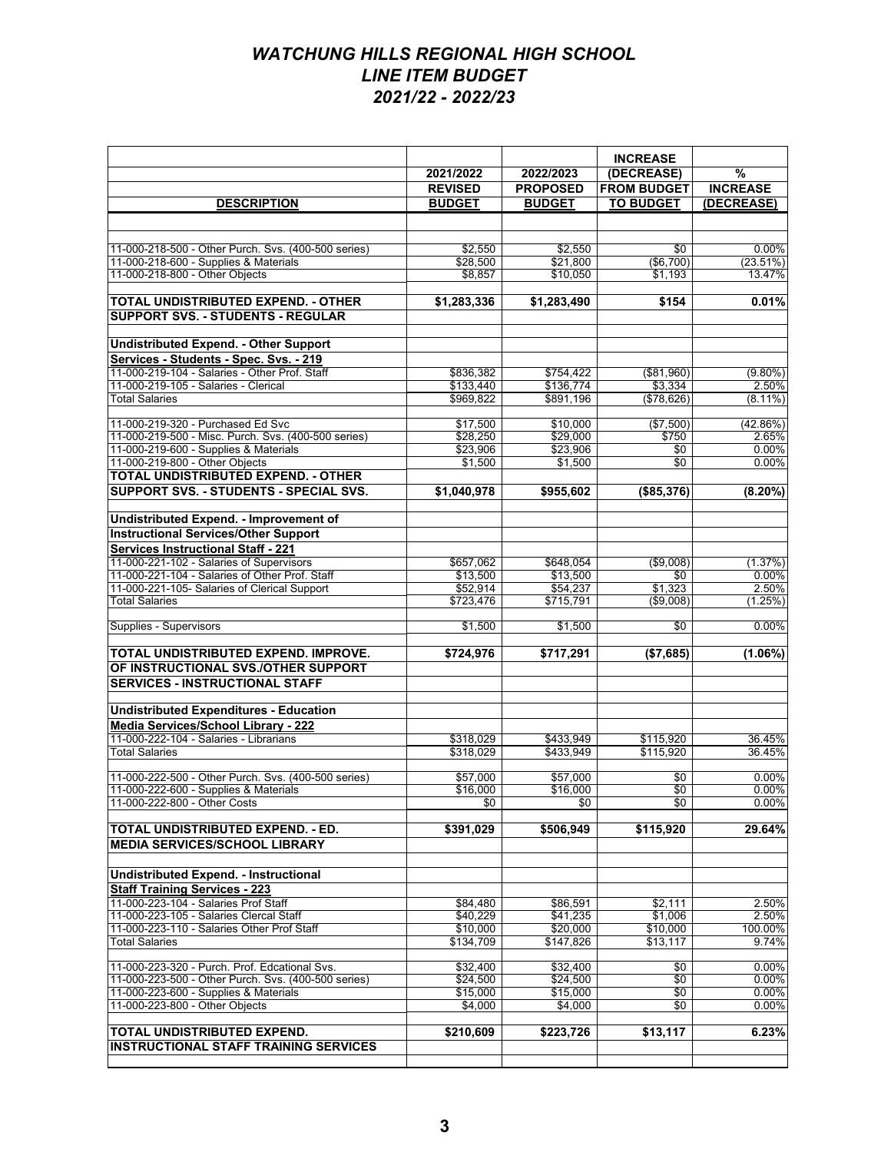|                                                                                              | 2021/2022            | 2022/2023            | <b>INCREASE</b><br>(DECREASE) | $\frac{9}{6}$        |
|----------------------------------------------------------------------------------------------|----------------------|----------------------|-------------------------------|----------------------|
|                                                                                              | <b>REVISED</b>       | <b>PROPOSED</b>      | <b>FROM BUDGET</b>            | <b>INCREASE</b>      |
| <b>DESCRIPTION</b>                                                                           | <b>BUDGET</b>        | <b>BUDGET</b>        | <b>TO BUDGET</b>              | (DECREASE)           |
|                                                                                              |                      |                      |                               |                      |
|                                                                                              |                      |                      |                               |                      |
| 11-000-218-500 - Other Purch. Svs. (400-500 series)<br>11-000-218-600 - Supplies & Materials | \$2,550<br>\$28,500  | \$2,550<br>\$21.800  | \$0<br>( \$6,700)             | 0.00%<br>$(23.51\%)$ |
| 11-000-218-800 - Other Objects                                                               | \$8,857              | \$10,050             | \$1,193                       | 13.47%               |
|                                                                                              |                      |                      |                               |                      |
| <b>TOTAL UNDISTRIBUTED EXPEND. - OTHER</b>                                                   | \$1,283,336          | \$1,283,490          | \$154                         | 0.01%                |
| <b>SUPPORT SVS. - STUDENTS - REGULAR</b>                                                     |                      |                      |                               |                      |
|                                                                                              |                      |                      |                               |                      |
| <b>Undistributed Expend. - Other Support</b><br>Services - Students - Spec. Svs. - 219       |                      |                      |                               |                      |
| 11-000-219-104 - Salaries - Other Prof. Staff                                                | \$836,382            | \$754,422            | ( \$81,960)                   | $(9.80\%)$           |
| 11-000-219-105 - Salaries - Clerical                                                         | \$133,440            | \$136,774            | \$3,334                       | 2.50%                |
| <b>Total Salaries</b>                                                                        | \$969,822            | \$891,196            | (\$78,626)                    | $(8.11\%)$           |
|                                                                                              |                      |                      |                               |                      |
| 11-000-219-320 - Purchased Ed Svc<br>11-000-219-500 - Misc. Purch. Svs. (400-500 series)     | \$17,500<br>\$28.250 | \$10,000             | (\$7,500)                     | (42.86%)             |
| 11-000-219-600 - Supplies & Materials                                                        | \$23,906             | \$29,000<br>\$23.906 | \$750<br>\$0                  | 2.65%<br>0.00%       |
| 11-000-219-800 - Other Objects                                                               | \$1,500              | \$1,500              | \$0                           | 0.00%                |
| TOTAL UNDISTRIBUTED EXPEND. - OTHER                                                          |                      |                      |                               |                      |
| SUPPORT SVS. - STUDENTS - SPECIAL SVS.                                                       | \$1,040,978          | \$955,602            | (\$85,376)                    | $(8.20\%)$           |
| Undistributed Expend. - Improvement of                                                       |                      |                      |                               |                      |
| <b>Instructional Services/Other Support</b>                                                  |                      |                      |                               |                      |
| <b>Services Instructional Staff - 221</b>                                                    |                      |                      |                               |                      |
| 11-000-221-102 - Salaries of Supervisors                                                     | \$657,062            | \$648.054            | (\$9,008)                     | (1.37%)              |
| 11-000-221-104 - Salaries of Other Prof. Staff                                               | \$13,500             | \$13,500             | \$0                           | $0.00\%$             |
| 11-000-221-105- Salaries of Clerical Support                                                 | \$52,914             | \$54,237             | \$1,323                       | 2.50%                |
| <b>Total Salaries</b>                                                                        | \$723,476            | \$715,791            | ( \$9,008)                    | (1.25%)              |
| Supplies - Supervisors                                                                       | \$1,500              | \$1,500              | \$0                           | 0.00%                |
| TOTAL UNDISTRIBUTED EXPEND. IMPROVE.                                                         | \$724,976            | \$717,291            | (\$7,685)                     | (1.06%)              |
| OF INSTRUCTIONAL SVS./OTHER SUPPORT                                                          |                      |                      |                               |                      |
| <b>SERVICES - INSTRUCTIONAL STAFF</b>                                                        |                      |                      |                               |                      |
|                                                                                              |                      |                      |                               |                      |
| <b>Undistributed Expenditures - Education</b>                                                |                      |                      |                               |                      |
| <b>Media Services/School Library - 222</b>                                                   |                      |                      |                               |                      |
| 11-000-222-104 - Salaries - Librarians                                                       | \$318,029            | \$433,949            | \$115,920                     | 36.45%               |
| <b>Total Salaries</b>                                                                        | \$318,029            | \$433,949            | \$115,920                     | 36.45%               |
| 11-000-222-500 - Other Purch, Svs. (400-500 series)                                          | \$57,000             | \$57,000             | \$0                           | 0.00%                |
| 11-000-222-600 - Supplies & Materials                                                        | \$16,000             | \$16,000             | \$0                           | 0.00%                |
| 11-000-222-800 - Other Costs                                                                 | \$0                  | \$0                  | \$0                           | $0.00\%$             |
|                                                                                              |                      |                      |                               |                      |
| TOTAL UNDISTRIBUTED EXPEND. - ED.<br><b>MEDIA SERVICES/SCHOOL LIBRARY</b>                    | \$391,029            | \$506,949            | \$115,920                     | 29.64%               |
|                                                                                              |                      |                      |                               |                      |
| <b>Undistributed Expend. - Instructional</b>                                                 |                      |                      |                               |                      |
| <b>Staff Training Services - 223</b>                                                         |                      |                      |                               |                      |
| 11-000-223-104 - Salaries Prof Staff                                                         | \$84.480             | \$86,591             | \$2.111                       | 2.50%                |
| 11-000-223-105 - Salaries Clercal Staff                                                      | \$40,229             | \$41,235             | \$1,006                       | 2.50%                |
| 11-000-223-110 - Salaries Other Prof Staff                                                   | \$10,000             | \$20,000             | \$10,000                      | 100.00%<br>9.74%     |
| <b>Total Salaries</b>                                                                        | \$134,709            | \$147,826            | \$13,117                      |                      |
| 11-000-223-320 - Purch. Prof. Edcational Svs.                                                | \$32,400             | \$32,400             | \$0                           | 0.00%                |
| 11-000-223-500 - Other Purch. Svs. (400-500 series)                                          | \$24,500             | \$24.500             | \$0                           | 0.00%                |
| 11-000-223-600 - Supplies & Materials                                                        | \$15,000             | \$15,000             | \$0                           | 0.00%                |
| 11-000-223-800 - Other Objects                                                               | \$4,000              | \$4,000              | \$0                           | 0.00%                |
| TOTAL UNDISTRIBUTED EXPEND.                                                                  | \$210,609            | \$223,726            | \$13,117                      | 6.23%                |
| <b>INSTRUCTIONAL STAFF TRAINING SERVICES</b>                                                 |                      |                      |                               |                      |
|                                                                                              |                      |                      |                               |                      |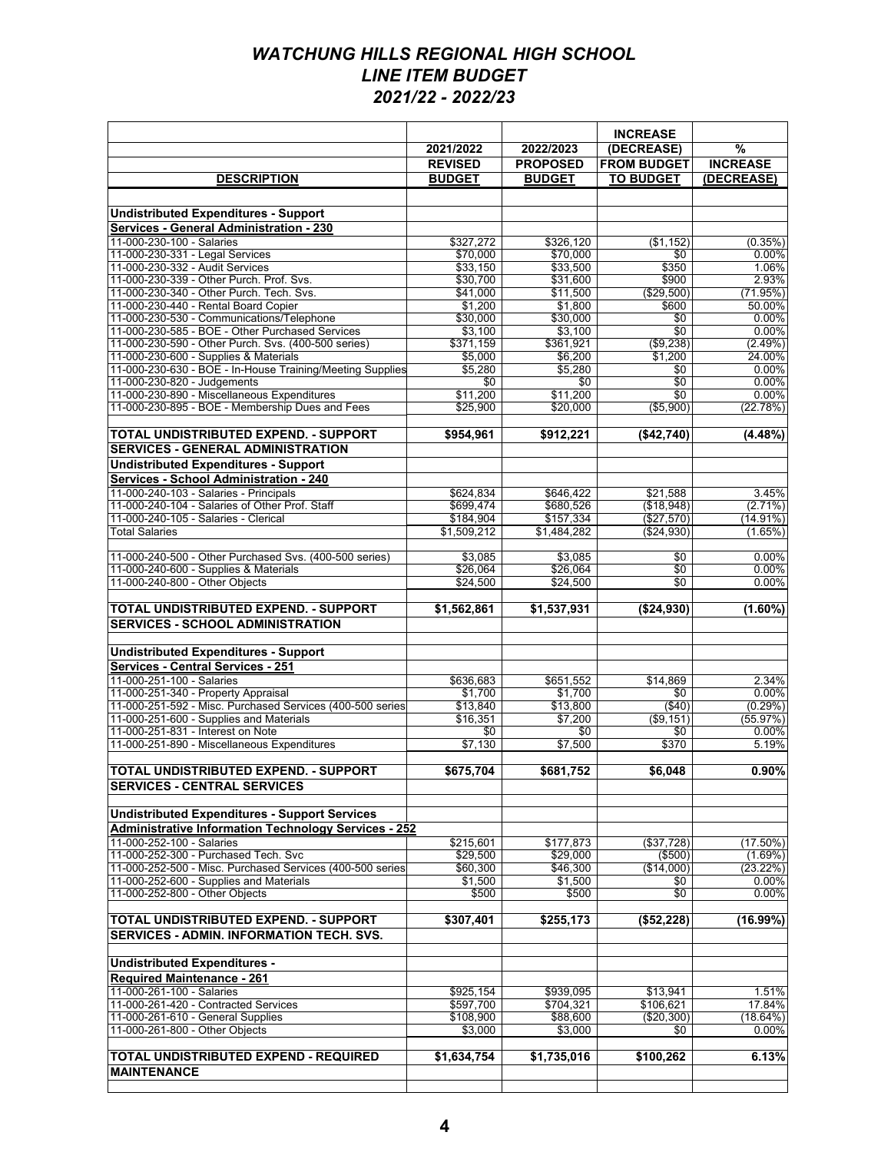|                                                                                                    |                          |                          | <b>INCREASE</b>          |                        |
|----------------------------------------------------------------------------------------------------|--------------------------|--------------------------|--------------------------|------------------------|
|                                                                                                    | 2021/2022                | 2022/2023                | (DECREASE)               | $\frac{9}{6}$          |
|                                                                                                    | <b>REVISED</b>           | <b>PROPOSED</b>          | <b>FROM BUDGET</b>       | <b>INCREASE</b>        |
| <b>DESCRIPTION</b>                                                                                 | <b>BUDGET</b>            | <b>BUDGET</b>            | <b>TO BUDGET</b>         | (DECREASE)             |
|                                                                                                    |                          |                          |                          |                        |
| <b>Undistributed Expenditures - Support</b>                                                        |                          |                          |                          |                        |
| <b>Services - General Administration - 230</b>                                                     |                          |                          |                          |                        |
| 11-000-230-100 - Salaries                                                                          | \$327,272                | \$326,120                | (\$1,152)                | (0.35%)                |
| 11-000-230-331 - Legal Services<br>11-000-230-332 - Audit Services                                 | \$70,000                 | \$70,000                 | \$0<br>\$350             | $0.00\%$               |
| 11-000-230-339 - Other Purch. Prof. Svs.                                                           | \$33,150<br>\$30,700     | \$33,500<br>\$31,600     | \$900                    | 1.06%<br>2.93%         |
| 11-000-230-340 - Other Purch. Tech. Svs.                                                           | \$41,000                 | \$11,500                 | ( \$29.500)              | (71.95%)               |
| 11-000-230-440 - Rental Board Copier                                                               | \$1,200                  | \$1,800                  | \$600                    | 50.00%                 |
| 11-000-230-530 - Communications/Telephone                                                          | \$30,000                 | \$30,000                 | \$0                      | $0.00\%$               |
| 11-000-230-585 - BOE - Other Purchased Services                                                    | \$3,100                  | \$3,100                  | \$0                      | 0.00%                  |
| 11-000-230-590 - Other Purch. Svs. (400-500 series)                                                | \$371,159                | \$361,921                | (\$9,238)                | (2.49%)                |
| 11-000-230-600 - Supplies & Materials<br>11-000-230-630 - BOE - In-House Training/Meeting Supplies | \$5,000<br>\$5,280       | \$6,200<br>\$5,280       | \$1,200<br>\$0           | 24.00%<br>0.00%        |
| 11-000-230-820 - Judgements                                                                        | \$0                      | \$0                      | \$0                      | 0.00%                  |
| 11-000-230-890 - Miscellaneous Expenditures                                                        | \$11,200                 | \$11,200                 | \$0                      | 0.00%                  |
| 11-000-230-895 - BOE - Membership Dues and Fees                                                    | \$25,900                 | \$20,000                 | (\$5,900)                | (22.78%)               |
|                                                                                                    |                          |                          |                          |                        |
| TOTAL UNDISTRIBUTED EXPEND. - SUPPORT                                                              | \$954,961                | \$912,221                | (\$42,740)               | (4.48%)                |
| <b>SERVICES - GENERAL ADMINISTRATION</b>                                                           |                          |                          |                          |                        |
| <b>Undistributed Expenditures - Support</b>                                                        |                          |                          |                          |                        |
| Services - School Administration - 240                                                             |                          |                          |                          |                        |
| 11-000-240-103 - Salaries - Principals                                                             | \$624,834                | \$646,422                | \$21,588                 | 3.45%                  |
| 11-000-240-104 - Salaries of Other Prof. Staff                                                     | \$699,474                | \$680.526                | (\$18.948)               | $(2.71\%)$             |
| 11-000-240-105 - Salaries - Clerical<br><b>Total Salaries</b>                                      | \$184,904<br>\$1,509,212 | \$157,334<br>\$1,484,282 | (\$27,570)<br>(\$24,930) | $(14.91\%)$<br>(1.65%) |
|                                                                                                    |                          |                          |                          |                        |
| 11-000-240-500 - Other Purchased Svs. (400-500 series)                                             | \$3,085                  | \$3,085                  | \$0                      | 0.00%                  |
| 11-000-240-600 - Supplies & Materials                                                              | \$26,064                 | \$26,064                 | \$0                      | 0.00%                  |
| 11-000-240-800 - Other Objects                                                                     | \$24,500                 | \$24,500                 | \$0                      | 0.00%                  |
|                                                                                                    |                          |                          |                          |                        |
| TOTAL UNDISTRIBUTED EXPEND. - SUPPORT                                                              | \$1,562,861              | \$1,537,931              | (\$24,930)               | $(1.60\%)$             |
| <b>SERVICES - SCHOOL ADMINISTRATION</b>                                                            |                          |                          |                          |                        |
| <b>Undistributed Expenditures - Support</b>                                                        |                          |                          |                          |                        |
| <b>Services - Central Services - 251</b>                                                           |                          |                          |                          |                        |
| 11-000-251-100 - Salaries                                                                          | \$636,683                | \$651,552                | \$14,869                 | 2.34%                  |
| 11-000-251-340 - Property Appraisal                                                                | \$1,700                  | \$1,700                  | \$0                      | 0.00%                  |
| 11-000-251-592 - Misc. Purchased Services (400-500 series                                          | \$13,840                 | \$13,800                 | ( \$40)                  | (0.29%)                |
| 11-000-251-600 - Supplies and Materials                                                            | \$16.351                 | \$7,200                  | ( \$9,151)               | (55.97%)               |
| 11-000-251-831 - Interest on Note                                                                  | \$0                      | \$0                      | \$0                      | 0.00%                  |
| 11-000-251-890 - Miscellaneous Expenditures                                                        | \$7,130                  | \$7,500                  | \$370                    | 5.19%                  |
| TOTAL UNDISTRIBUTED EXPEND. - SUPPORT                                                              | \$675,704                | \$681,752                | \$6,048                  | $0.90\%$               |
| <b>SERVICES - CENTRAL SERVICES</b>                                                                 |                          |                          |                          |                        |
|                                                                                                    |                          |                          |                          |                        |
| <b>Undistributed Expenditures - Support Services</b>                                               |                          |                          |                          |                        |
| <b>Administrative Information Technology Services - 252</b>                                        |                          |                          |                          |                        |
| 11-000-252-100 - Salaries                                                                          | \$215,601                | \$177,873                | (\$37,728)               | $(17.50\%)$            |
| 11-000-252-300 - Purchased Tech. Svc                                                               | \$29,500                 | \$29,000                 | ( \$500)                 | (1.69%)                |
| 11-000-252-500 - Misc. Purchased Services (400-500 series                                          | \$60,300                 | \$46,300                 | (\$14.000)               | (23.22%)               |
| 11-000-252-600 - Supplies and Materials                                                            | \$1,500                  | \$1,500                  | \$0                      | $0.00\%$               |
| 11-000-252-800 - Other Objects                                                                     | \$500                    | \$500                    | \$0                      | 0.00%                  |
| TOTAL UNDISTRIBUTED EXPEND. - SUPPORT                                                              | \$307,401                | \$255,173                | ( \$52.228)              | (16.99%)               |
| <b>SERVICES - ADMIN. INFORMATION TECH. SVS.</b>                                                    |                          |                          |                          |                        |
|                                                                                                    |                          |                          |                          |                        |
| <b>Undistributed Expenditures -</b>                                                                |                          |                          |                          |                        |
| <b>Required Maintenance - 261</b>                                                                  |                          |                          |                          |                        |
| 11-000-261-100 - Salaries                                                                          | \$925,154                | \$939,095                | \$13,941                 | 1.51%                  |
| 11-000-261-420 - Contracted Services                                                               | \$597,700                | \$704,321                | \$106,621                | 17.84%                 |
| 11-000-261-610 - General Supplies                                                                  | \$108,900                | \$88,600                 | (\$20,300)               | (18.64%)               |
| 11-000-261-800 - Other Objects                                                                     | \$3,000                  | \$3,000                  | \$0                      | 0.00%                  |
|                                                                                                    |                          |                          |                          |                        |
| TOTAL UNDISTRIBUTED EXPEND - REQUIRED                                                              | \$1,634,754              | \$1,735,016              | \$100,262                | 6.13%                  |
| <b>MAINTENANCE</b>                                                                                 |                          |                          |                          |                        |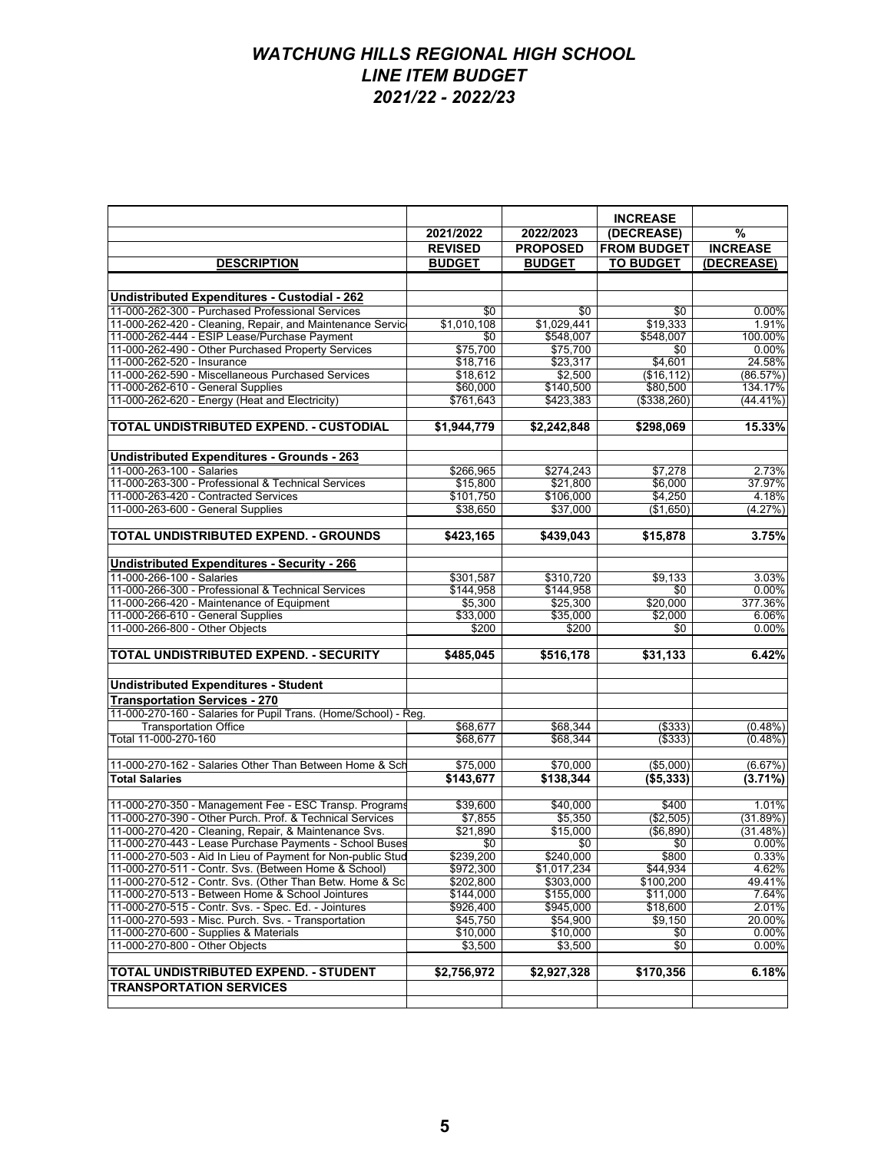|                                                                                                           |                    |                          | <b>INCREASE</b>       |                  |
|-----------------------------------------------------------------------------------------------------------|--------------------|--------------------------|-----------------------|------------------|
|                                                                                                           | 2021/2022          | 2022/2023                | (DECREASE)            | %                |
|                                                                                                           | <b>REVISED</b>     | <b>PROPOSED</b>          | <b>FROM BUDGET</b>    | <b>INCREASE</b>  |
| <b>DESCRIPTION</b>                                                                                        | <b>BUDGET</b>      | <b>BUDGET</b>            | <b>TO BUDGET</b>      | (DECREASE)       |
|                                                                                                           |                    |                          |                       |                  |
|                                                                                                           |                    |                          |                       |                  |
| Undistributed Expenditures - Custodial - 262                                                              |                    |                          |                       |                  |
| 11-000-262-300 - Purchased Professional Services                                                          | \$0                | \$0                      | \$0                   | 0.00%            |
| 11-000-262-420 - Cleaning, Repair, and Maintenance Servic<br>11-000-262-444 - ESIP Lease/Purchase Payment | \$1,010,108<br>\$0 | \$1,029,441<br>\$548,007 | \$19,333<br>\$548,007 | 1.91%<br>100.00% |
| 11-000-262-490 - Other Purchased Property Services                                                        | \$75,700           | \$75.700                 | \$0                   | 0.00%            |
| 11-000-262-520 - Insurance                                                                                | \$18,716           | \$23,317                 | \$4,601               | 24.58%           |
| 11-000-262-590 - Miscellaneous Purchased Services                                                         | \$18,612           | \$2,500                  | (\$16, 112)           | (86.57%)         |
| 11-000-262-610 - General Supplies                                                                         | \$60,000           | \$140,500                | \$80,500              | 134.17%          |
| 11-000-262-620 - Energy (Heat and Electricity)                                                            | \$761,643          | \$423,383                | (\$338,260)           | $(44.41\%)$      |
|                                                                                                           |                    |                          |                       |                  |
| TOTAL UNDISTRIBUTED EXPEND. - CUSTODIAL                                                                   | \$1,944,779        | \$2,242,848              | \$298,069             | 15.33%           |
| <b>Undistributed Expenditures - Grounds - 263</b>                                                         |                    |                          |                       |                  |
| 11-000-263-100 - Salaries                                                                                 | \$266,965          | \$274,243                | \$7,278               | 2.73%            |
| 11-000-263-300 - Professional & Technical Services                                                        | \$15,800           | \$21,800                 | \$6,000               | 37.97%           |
| 11-000-263-420 - Contracted Services                                                                      | \$101,750          | \$106,000                | \$4,250               | 4.18%            |
| 11-000-263-600 - General Supplies                                                                         | \$38,650           | \$37,000                 | (\$1,650)             | (4.27%)          |
|                                                                                                           |                    |                          |                       |                  |
| TOTAL UNDISTRIBUTED EXPEND. - GROUNDS                                                                     | \$423,165          | \$439,043                | \$15,878              | 3.75%            |
| <b>Undistributed Expenditures - Security - 266</b>                                                        |                    |                          |                       |                  |
| 11-000-266-100 - Salaries                                                                                 | \$301,587          | \$310.720                | \$9,133               | 3.03%            |
| 11-000-266-300 - Professional & Technical Services                                                        | \$144,958          | \$144,958                | \$0                   | $0.00\%$         |
| 11-000-266-420 - Maintenance of Equipment                                                                 | \$5,300            | \$25,300                 | \$20,000              | 377.36%          |
| 11-000-266-610 - General Supplies                                                                         | \$33,000           | \$35,000                 | \$2,000               | 6.06%            |
| 11-000-266-800 - Other Objects                                                                            | \$200              | \$200                    | \$0                   | 0.00%            |
|                                                                                                           |                    |                          |                       |                  |
| TOTAL UNDISTRIBUTED EXPEND. - SECURITY                                                                    | \$485,045          | \$516,178                | \$31,133              | 6.42%            |
| <b>Undistributed Expenditures - Student</b>                                                               |                    |                          |                       |                  |
| <b>Transportation Services - 270</b>                                                                      |                    |                          |                       |                  |
| 11-000-270-160 - Salaries for Pupil Trans. (Home/School) - Reg.                                           |                    |                          |                       |                  |
| <b>Transportation Office</b>                                                                              | \$68,677           | \$68,344                 | ( \$333)              | $(0.48\%)$       |
| Total 11-000-270-160                                                                                      | \$68,677           | \$68,344                 | $($ \$333)            | $(0.48\%)$       |
|                                                                                                           |                    |                          |                       |                  |
| 11-000-270-162 - Salaries Other Than Between Home & Sch                                                   | \$75,000           | \$70,000                 | (\$5,000)             | (6.67%)          |
| <b>Total Salaries</b>                                                                                     | \$143,677          | \$138,344                | (\$5,333)             | $(3.71\%)$       |
| 11-000-270-350 - Management Fee - ESC Transp. Programs                                                    | \$39,600           | \$40.000                 | \$400                 | 1.01%            |
| 11-000-270-390 - Other Purch, Prof. & Technical Services                                                  | \$7,855            | \$5,350                  | (\$2,505)             | (31.89%)         |
| 11-000-270-420 - Cleaning, Repair, & Maintenance Svs.                                                     | \$21,890           | \$15,000                 | ( \$6.890)            | (31.48%)         |
| 11-000-270-443 - Lease Purchase Payments - School Buses                                                   | \$0                | \$0                      | \$0                   | 0.00%            |
| 11-000-270-503 - Aid In Lieu of Payment for Non-public Stud                                               | \$239,200          | \$240,000                | \$800                 | 0.33%            |
| 11-000-270-511 - Contr. Svs. (Between Home & School)                                                      | \$972,300          | \$1,017,234              | \$44,934              | 4.62%            |
| 11-000-270-512 - Contr. Svs. (Other Than Betw. Home & Sc                                                  | \$202,800          | \$303,000                | \$100,200             | 49.41%           |
| 11-000-270-513 - Between Home & School Jointures                                                          | \$144,000          | \$155,000                | \$11,000              | 7.64%            |
| 11-000-270-515 - Contr. Svs. - Spec. Ed. - Jointures                                                      | \$926,400          | \$945,000                | \$18,600              | 2.01%            |
| 11-000-270-593 - Misc. Purch. Svs. - Transportation                                                       | \$45,750           | \$54,900                 | \$9,150               | 20.00%           |
| 11-000-270-600 - Supplies & Materials                                                                     | \$10,000           | \$10,000                 | \$0                   | $0.00\%$         |
| 11-000-270-800 - Other Objects                                                                            | \$3,500            | \$3,500                  | \$0                   | 0.00%            |
| TOTAL UNDISTRIBUTED EXPEND. - STUDENT                                                                     | \$2,756,972        | \$2,927,328              | \$170,356             | 6.18%            |
| <b>TRANSPORTATION SERVICES</b>                                                                            |                    |                          |                       |                  |
|                                                                                                           |                    |                          |                       |                  |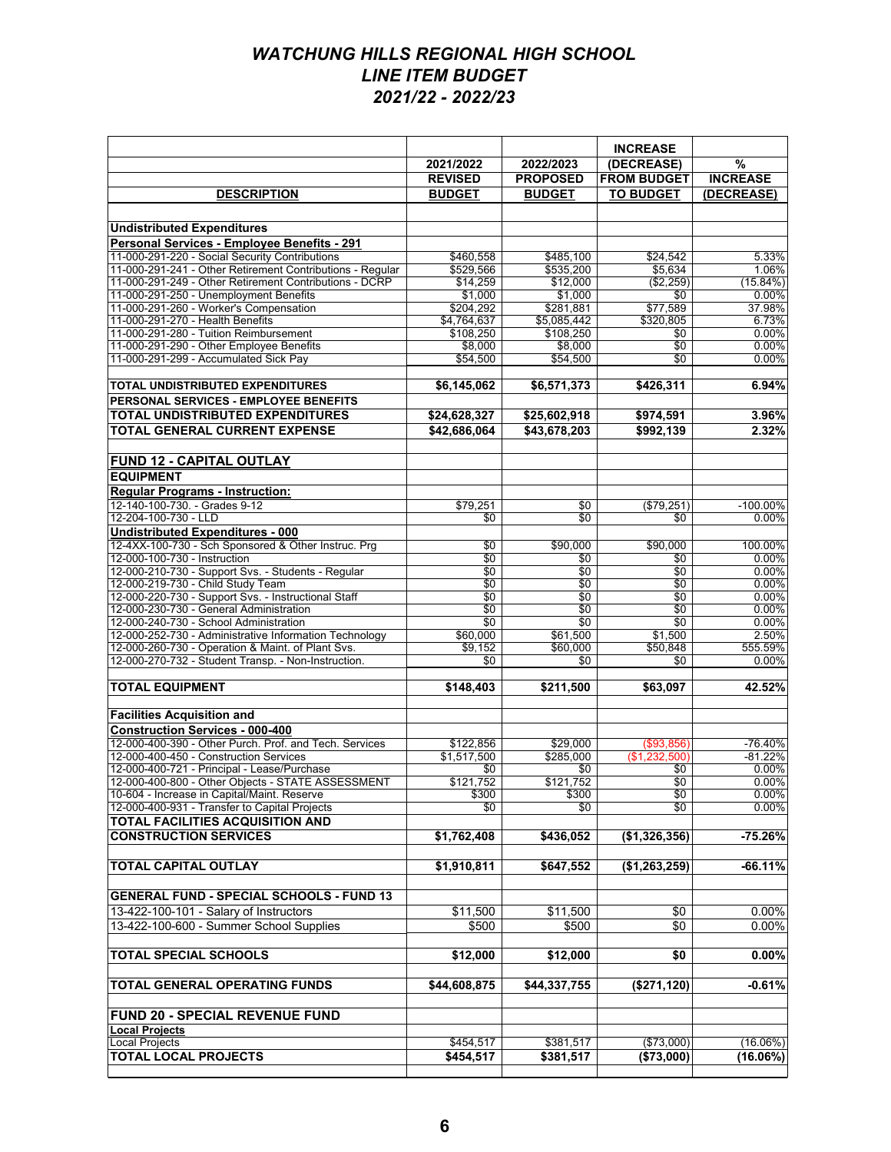|                                                                                          |                          |                          | <b>INCREASE</b>    |                 |
|------------------------------------------------------------------------------------------|--------------------------|--------------------------|--------------------|-----------------|
|                                                                                          | 2021/2022                | 2022/2023                | (DECREASE)         | $\%$            |
|                                                                                          | <b>REVISED</b>           | <b>PROPOSED</b>          | <b>FROM BUDGET</b> | <b>INCREASE</b> |
| <b>DESCRIPTION</b>                                                                       | <b>BUDGET</b>            | <b>BUDGET</b>            | <b>TO BUDGET</b>   | (DECREASE)      |
|                                                                                          |                          |                          |                    |                 |
| <b>Undistributed Expenditures</b>                                                        |                          |                          |                    |                 |
| Personal Services - Emplovee Benefits - 291                                              |                          |                          |                    |                 |
| 11-000-291-220 - Social Security Contributions                                           | \$460,558                | \$485,100                | \$24,542           | 5.33%           |
| 11-000-291-241 - Other Retirement Contributions - Regular                                | \$529,566                | \$535,200                | \$5,634            | 1.06%           |
| 11-000-291-249 - Other Retirement Contributions - DCRP                                   | \$14,259                 | \$12,000                 | (\$2,259)          | $(15.84\%)$     |
| 11-000-291-250 - Unemployment Benefits                                                   | \$1,000                  | \$1,000                  | \$0                | 0.00%           |
| 11-000-291-260 - Worker's Compensation                                                   | \$204,292                | \$281,881                | \$77,589           | 37.98%          |
| 11-000-291-270 - Health Benefits<br>11-000-291-280 - Tuition Reimbursement               | \$4,764,637<br>\$108,250 | \$5,085,442<br>\$108,250 | \$320,805<br>\$0   | 6.73%<br>0.00%  |
| 11-000-291-290 - Other Employee Benefits                                                 | \$8,000                  | \$8,000                  | $\overline{50}$    | 0.00%           |
| 11-000-291-299 - Accumulated Sick Pay                                                    | \$54,500                 | \$54,500                 | \$0                | 0.00%           |
|                                                                                          |                          |                          |                    |                 |
| <b>TOTAL UNDISTRIBUTED EXPENDITURES</b>                                                  | \$6,145,062              | \$6,571,373              | \$426,311          | 6.94%           |
| PERSONAL SERVICES - EMPLOYEE BENEFITS                                                    |                          |                          |                    |                 |
| <b>TOTAL UNDISTRIBUTED EXPENDITURES</b>                                                  | \$24,628,327             | \$25,602,918             | \$974,591          | 3.96%           |
| <b>TOTAL GENERAL CURRENT EXPENSE</b>                                                     | \$42,686,064             | \$43.678.203             | \$992,139          | 2.32%           |
|                                                                                          |                          |                          |                    |                 |
| <b>FUND 12 - CAPITAL OUTLAY</b>                                                          |                          |                          |                    |                 |
| <b>EQUIPMENT</b>                                                                         |                          |                          |                    |                 |
| <b>Regular Programs - Instruction:</b>                                                   |                          |                          |                    |                 |
| 12-140-100-730. - Grades 9-12                                                            | \$79.251                 | \$0                      | (\$79,251)         | $-100.00\%$     |
| 12-204-100-730 - LLD                                                                     | \$0                      | \$0                      | \$0                | 0.00%           |
| <b>Undistributed Expenditures - 000</b>                                                  |                          |                          |                    |                 |
| 12-4XX-100-730 - Sch Sponsored & Other Instruc. Prg                                      | \$0                      | \$90,000                 | \$90,000           | 100.00%         |
| 12-000-100-730 - Instruction                                                             | \$0                      | \$0                      | \$0                | 0.00%           |
| 12-000-210-730 - Support Svs. - Students - Regular                                       | \$0                      | \$0<br>\$0               | \$0<br>\$0         | 0.00%           |
| 12-000-219-730 - Child Study Team<br>12-000-220-730 - Support Svs. - Instructional Staff | \$0<br>\$0               | \$0                      | \$0                | 0.00%<br>0.00%  |
| 12-000-230-730 - General Administration                                                  | \$0                      | \$0                      | \$0                | 0.00%           |
| 12-000-240-730 - School Administration                                                   | $\overline{50}$          | $\overline{50}$          | $\overline{50}$    | 0.00%           |
| 12-000-252-730 - Administrative Information Technology                                   | \$60,000                 | \$61,500                 | \$1,500            | 2.50%           |
| 12-000-260-730 - Operation & Maint. of Plant Svs.                                        | \$9,152                  | \$60,000                 | \$50,848           | 555.59%         |
| 12-000-270-732 - Student Transp. - Non-Instruction.                                      | \$0                      | \$0                      | \$0                | $0.00\%$        |
|                                                                                          |                          |                          |                    |                 |
| <b>TOTAL EQUIPMENT</b>                                                                   | \$148,403                | \$211,500                | \$63,097           | 42.52%          |
| <b>Facilities Acquisition and</b>                                                        |                          |                          |                    |                 |
| <b>Construction Services - 000-400</b>                                                   |                          |                          |                    |                 |
| 12-000-400-390 - Other Purch. Prof. and Tech. Services                                   | \$122,856                | \$29,000                 | ( \$93, 856)       | $-76.40%$       |
| 12-000-400-450 - Construction Services                                                   | \$1,517,500              | \$285,000                | (\$1,232,500)      | $-81.22%$       |
| 12-000-400-721 - Principal - Lease/Purchase                                              | \$0                      | \$0                      | \$0                | 0.00%           |
| 12-000-400-800 - Other Objects - STATE ASSESSMENT                                        | \$121,752                | \$121,752                | $\overline{50}$    | 0.00%           |
| 10-604 - Increase in Capital/Maint. Reserve                                              | \$300                    | \$300                    | \$0                | $0.00\%$        |
| 12-000-400-931 - Transfer to Capital Projects                                            | \$0                      | \$0                      | \$0                | $0.00\%$        |
| <b>TOTAL FACILITIES ACQUISITION AND</b>                                                  |                          |                          |                    |                 |
| <b>CONSTRUCTION SERVICES</b>                                                             | \$1,762,408              | \$436,052                | (\$1,326,356)      | $-75.26%$       |
|                                                                                          |                          |                          |                    |                 |
| <b>TOTAL CAPITAL OUTLAY</b>                                                              | \$1,910,811              | \$647,552                | (\$1,263,259)      | $-66.11%$       |
|                                                                                          |                          |                          |                    |                 |
| <b>GENERAL FUND - SPECIAL SCHOOLS - FUND 13</b>                                          |                          |                          |                    |                 |
| 13-422-100-101 - Salary of Instructors                                                   | \$11,500                 | \$11,500                 | \$0                | $0.00\%$        |
| 13-422-100-600 - Summer School Supplies                                                  | \$500                    | \$500                    | \$0                | $0.00\%$        |
|                                                                                          |                          |                          |                    |                 |
| <b>TOTAL SPECIAL SCHOOLS</b>                                                             | \$12,000                 | \$12,000                 | \$0                | $0.00\%$        |
|                                                                                          |                          |                          |                    |                 |
| <b>TOTAL GENERAL OPERATING FUNDS</b>                                                     | \$44,608,875             | \$44,337,755             | (\$271, 120)       | $-0.61%$        |
|                                                                                          |                          |                          |                    |                 |
| FUND 20 - SPECIAL REVENUE FUND                                                           |                          |                          |                    |                 |
| <b>Local Projects</b>                                                                    |                          |                          |                    |                 |
| <b>Local Projects</b>                                                                    | \$454,517                | \$381,517                | (\$73,000)         | $(16.06\%)$     |
| <b>TOTAL LOCAL PROJECTS</b>                                                              | \$454,517                | \$381,517                | (\$73,000)         | (16.06%)        |
|                                                                                          |                          |                          |                    |                 |